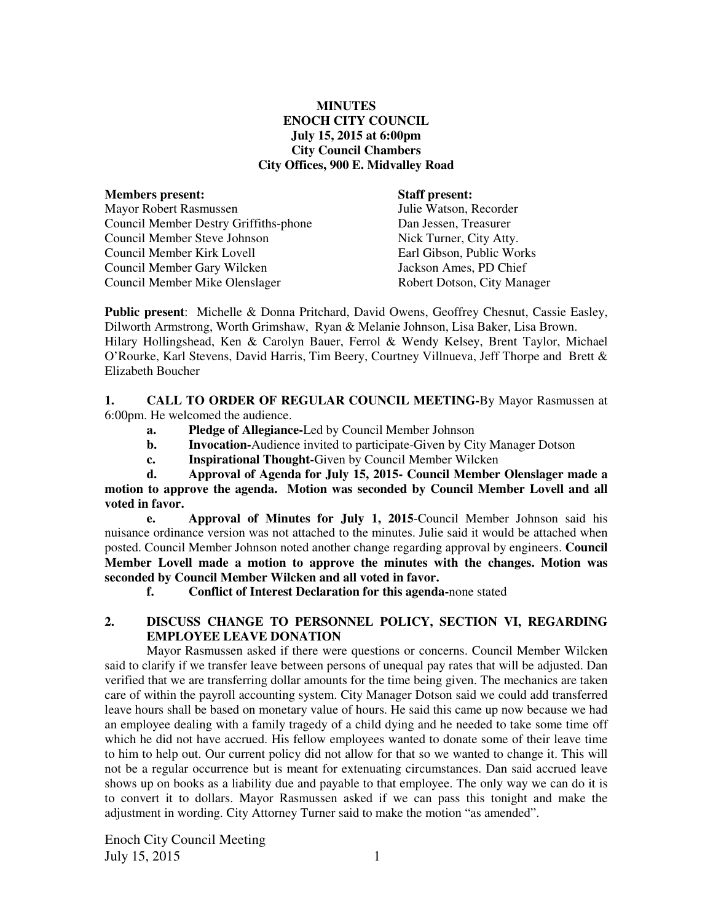# **MINUTES ENOCH CITY COUNCIL July 15, 2015 at 6:00pm City Council Chambers City Offices, 900 E. Midvalley Road**

| <b>Staff present:</b>       |
|-----------------------------|
| Julie Watson, Recorder      |
| Dan Jessen, Treasurer       |
| Nick Turner, City Atty.     |
| Earl Gibson, Public Works   |
| Jackson Ames, PD Chief      |
| Robert Dotson, City Manager |
|                             |

**Public present**: Michelle & Donna Pritchard, David Owens, Geoffrey Chesnut, Cassie Easley, Dilworth Armstrong, Worth Grimshaw, Ryan & Melanie Johnson, Lisa Baker, Lisa Brown. Hilary Hollingshead, Ken & Carolyn Bauer, Ferrol & Wendy Kelsey, Brent Taylor, Michael O'Rourke, Karl Stevens, David Harris, Tim Beery, Courtney Villnueva, Jeff Thorpe and Brett & Elizabeth Boucher

**1. CALL TO ORDER OF REGULAR COUNCIL MEETING-**By Mayor Rasmussen at 6:00pm. He welcomed the audience.

- **a. Pledge of Allegiance-**Led by Council Member Johnson
- **b.** Invocation-Audience invited to participate-Given by City Manager Dotson
- **c. Inspirational Thought-**Given by Council Member Wilcken

 **d. Approval of Agenda for July 15, 2015- Council Member Olenslager made a motion to approve the agenda. Motion was seconded by Council Member Lovell and all voted in favor.** 

 **e. Approval of Minutes for July 1, 2015**-Council Member Johnson said his nuisance ordinance version was not attached to the minutes. Julie said it would be attached when posted. Council Member Johnson noted another change regarding approval by engineers. **Council Member Lovell made a motion to approve the minutes with the changes. Motion was seconded by Council Member Wilcken and all voted in favor.** 

 **f. Conflict of Interest Declaration for this agenda-**none stated

# **2. DISCUSS CHANGE TO PERSONNEL POLICY, SECTION VI, REGARDING EMPLOYEE LEAVE DONATION**

Mayor Rasmussen asked if there were questions or concerns. Council Member Wilcken said to clarify if we transfer leave between persons of unequal pay rates that will be adjusted. Dan verified that we are transferring dollar amounts for the time being given. The mechanics are taken care of within the payroll accounting system. City Manager Dotson said we could add transferred leave hours shall be based on monetary value of hours. He said this came up now because we had an employee dealing with a family tragedy of a child dying and he needed to take some time off which he did not have accrued. His fellow employees wanted to donate some of their leave time to him to help out. Our current policy did not allow for that so we wanted to change it. This will not be a regular occurrence but is meant for extenuating circumstances. Dan said accrued leave shows up on books as a liability due and payable to that employee. The only way we can do it is to convert it to dollars. Mayor Rasmussen asked if we can pass this tonight and make the adjustment in wording. City Attorney Turner said to make the motion "as amended".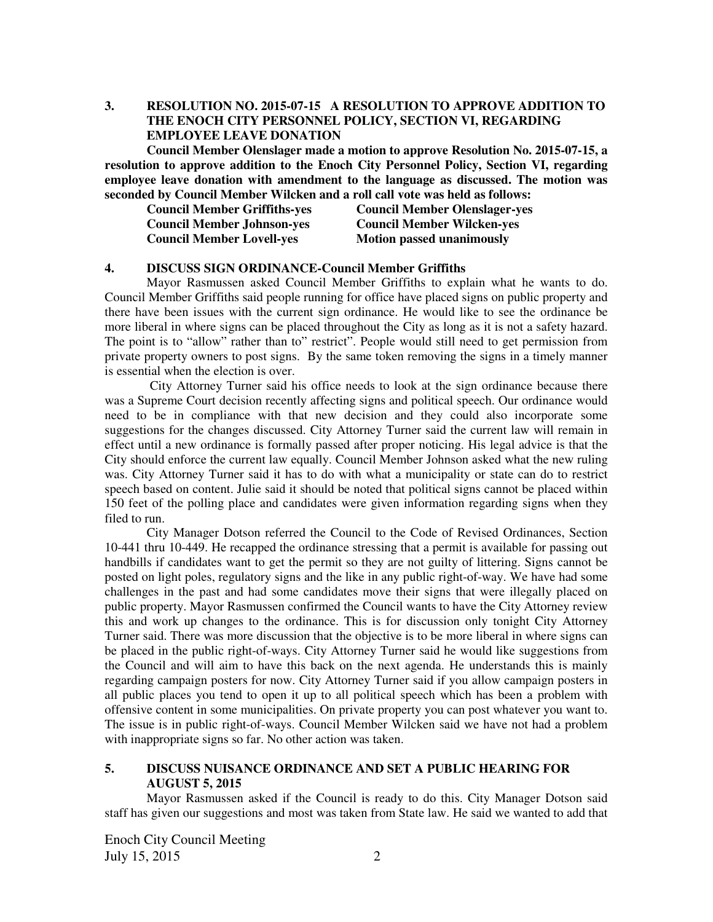**3. RESOLUTION NO. 2015-07-15 A RESOLUTION TO APPROVE ADDITION TO THE ENOCH CITY PERSONNEL POLICY, SECTION VI, REGARDING EMPLOYEE LEAVE DONATION** 

**Council Member Olenslager made a motion to approve Resolution No. 2015-07-15, a resolution to approve addition to the Enoch City Personnel Policy, Section VI, regarding employee leave donation with amendment to the language as discussed. The motion was seconded by Council Member Wilcken and a roll call vote was held as follows:** 

| <b>Council Member Griffiths-yes</b> | <b>Council Member Olenslager-yes</b> |
|-------------------------------------|--------------------------------------|
| <b>Council Member Johnson-yes</b>   | <b>Council Member Wilcken-yes</b>    |
| <b>Council Member Lovell-yes</b>    | <b>Motion passed unanimously</b>     |

#### **4. DISCUSS SIGN ORDINANCE-Council Member Griffiths**

Mayor Rasmussen asked Council Member Griffiths to explain what he wants to do. Council Member Griffiths said people running for office have placed signs on public property and there have been issues with the current sign ordinance. He would like to see the ordinance be more liberal in where signs can be placed throughout the City as long as it is not a safety hazard. The point is to "allow" rather than to" restrict". People would still need to get permission from private property owners to post signs. By the same token removing the signs in a timely manner is essential when the election is over.

 City Attorney Turner said his office needs to look at the sign ordinance because there was a Supreme Court decision recently affecting signs and political speech. Our ordinance would need to be in compliance with that new decision and they could also incorporate some suggestions for the changes discussed. City Attorney Turner said the current law will remain in effect until a new ordinance is formally passed after proper noticing. His legal advice is that the City should enforce the current law equally. Council Member Johnson asked what the new ruling was. City Attorney Turner said it has to do with what a municipality or state can do to restrict speech based on content. Julie said it should be noted that political signs cannot be placed within 150 feet of the polling place and candidates were given information regarding signs when they filed to run.

City Manager Dotson referred the Council to the Code of Revised Ordinances, Section 10-441 thru 10-449. He recapped the ordinance stressing that a permit is available for passing out handbills if candidates want to get the permit so they are not guilty of littering. Signs cannot be posted on light poles, regulatory signs and the like in any public right-of-way. We have had some challenges in the past and had some candidates move their signs that were illegally placed on public property. Mayor Rasmussen confirmed the Council wants to have the City Attorney review this and work up changes to the ordinance. This is for discussion only tonight City Attorney Turner said. There was more discussion that the objective is to be more liberal in where signs can be placed in the public right-of-ways. City Attorney Turner said he would like suggestions from the Council and will aim to have this back on the next agenda. He understands this is mainly regarding campaign posters for now. City Attorney Turner said if you allow campaign posters in all public places you tend to open it up to all political speech which has been a problem with offensive content in some municipalities. On private property you can post whatever you want to. The issue is in public right-of-ways. Council Member Wilcken said we have not had a problem with inappropriate signs so far. No other action was taken.

# **5. DISCUSS NUISANCE ORDINANCE AND SET A PUBLIC HEARING FOR AUGUST 5, 2015**

Mayor Rasmussen asked if the Council is ready to do this. City Manager Dotson said staff has given our suggestions and most was taken from State law. He said we wanted to add that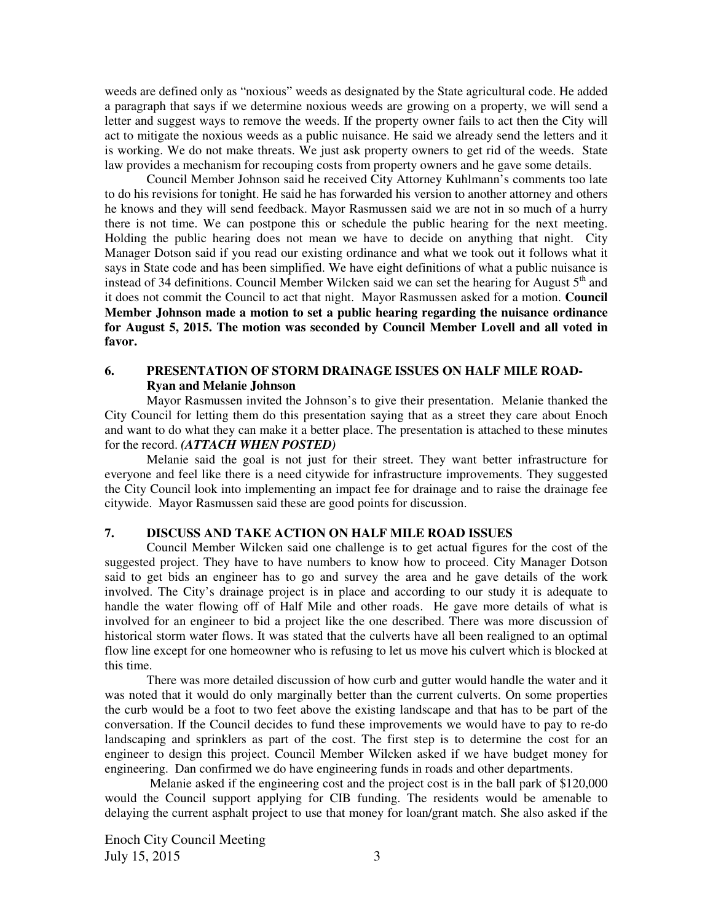weeds are defined only as "noxious" weeds as designated by the State agricultural code. He added a paragraph that says if we determine noxious weeds are growing on a property, we will send a letter and suggest ways to remove the weeds. If the property owner fails to act then the City will act to mitigate the noxious weeds as a public nuisance. He said we already send the letters and it is working. We do not make threats. We just ask property owners to get rid of the weeds. State law provides a mechanism for recouping costs from property owners and he gave some details.

Council Member Johnson said he received City Attorney Kuhlmann's comments too late to do his revisions for tonight. He said he has forwarded his version to another attorney and others he knows and they will send feedback. Mayor Rasmussen said we are not in so much of a hurry there is not time. We can postpone this or schedule the public hearing for the next meeting. Holding the public hearing does not mean we have to decide on anything that night. City Manager Dotson said if you read our existing ordinance and what we took out it follows what it says in State code and has been simplified. We have eight definitions of what a public nuisance is instead of 34 definitions. Council Member Wilcken said we can set the hearing for August  $5<sup>th</sup>$  and it does not commit the Council to act that night. Mayor Rasmussen asked for a motion. **Council Member Johnson made a motion to set a public hearing regarding the nuisance ordinance for August 5, 2015. The motion was seconded by Council Member Lovell and all voted in favor.**

# **6. PRESENTATION OF STORM DRAINAGE ISSUES ON HALF MILE ROAD-Ryan and Melanie Johnson**

Mayor Rasmussen invited the Johnson's to give their presentation. Melanie thanked the City Council for letting them do this presentation saying that as a street they care about Enoch and want to do what they can make it a better place. The presentation is attached to these minutes for the record. *(ATTACH WHEN POSTED)*

Melanie said the goal is not just for their street. They want better infrastructure for everyone and feel like there is a need citywide for infrastructure improvements. They suggested the City Council look into implementing an impact fee for drainage and to raise the drainage fee citywide. Mayor Rasmussen said these are good points for discussion.

#### **7. DISCUSS AND TAKE ACTION ON HALF MILE ROAD ISSUES**

Council Member Wilcken said one challenge is to get actual figures for the cost of the suggested project. They have to have numbers to know how to proceed. City Manager Dotson said to get bids an engineer has to go and survey the area and he gave details of the work involved. The City's drainage project is in place and according to our study it is adequate to handle the water flowing off of Half Mile and other roads. He gave more details of what is involved for an engineer to bid a project like the one described. There was more discussion of historical storm water flows. It was stated that the culverts have all been realigned to an optimal flow line except for one homeowner who is refusing to let us move his culvert which is blocked at this time.

There was more detailed discussion of how curb and gutter would handle the water and it was noted that it would do only marginally better than the current culverts. On some properties the curb would be a foot to two feet above the existing landscape and that has to be part of the conversation. If the Council decides to fund these improvements we would have to pay to re-do landscaping and sprinklers as part of the cost. The first step is to determine the cost for an engineer to design this project. Council Member Wilcken asked if we have budget money for engineering. Dan confirmed we do have engineering funds in roads and other departments.

Melanie asked if the engineering cost and the project cost is in the ball park of \$120,000 would the Council support applying for CIB funding. The residents would be amenable to delaying the current asphalt project to use that money for loan/grant match. She also asked if the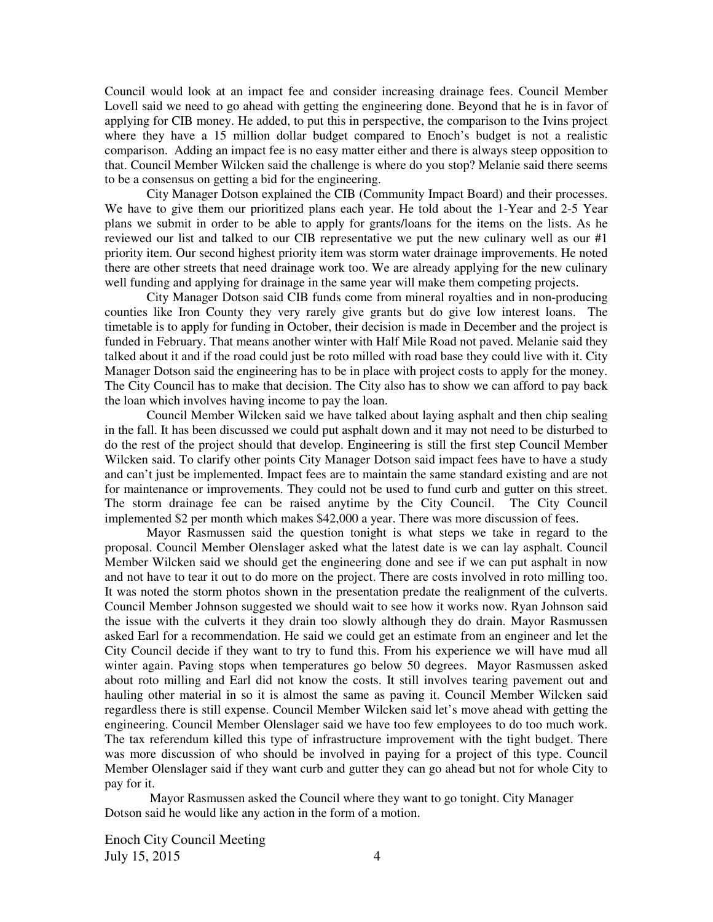Council would look at an impact fee and consider increasing drainage fees. Council Member Lovell said we need to go ahead with getting the engineering done. Beyond that he is in favor of applying for CIB money. He added, to put this in perspective, the comparison to the Ivins project where they have a 15 million dollar budget compared to Enoch's budget is not a realistic comparison. Adding an impact fee is no easy matter either and there is always steep opposition to that. Council Member Wilcken said the challenge is where do you stop? Melanie said there seems to be a consensus on getting a bid for the engineering.

City Manager Dotson explained the CIB (Community Impact Board) and their processes. We have to give them our prioritized plans each year. He told about the 1-Year and 2-5 Year plans we submit in order to be able to apply for grants/loans for the items on the lists. As he reviewed our list and talked to our CIB representative we put the new culinary well as our #1 priority item. Our second highest priority item was storm water drainage improvements. He noted there are other streets that need drainage work too. We are already applying for the new culinary well funding and applying for drainage in the same year will make them competing projects.

City Manager Dotson said CIB funds come from mineral royalties and in non-producing counties like Iron County they very rarely give grants but do give low interest loans. The timetable is to apply for funding in October, their decision is made in December and the project is funded in February. That means another winter with Half Mile Road not paved. Melanie said they talked about it and if the road could just be roto milled with road base they could live with it. City Manager Dotson said the engineering has to be in place with project costs to apply for the money. The City Council has to make that decision. The City also has to show we can afford to pay back the loan which involves having income to pay the loan.

Council Member Wilcken said we have talked about laying asphalt and then chip sealing in the fall. It has been discussed we could put asphalt down and it may not need to be disturbed to do the rest of the project should that develop. Engineering is still the first step Council Member Wilcken said. To clarify other points City Manager Dotson said impact fees have to have a study and can't just be implemented. Impact fees are to maintain the same standard existing and are not for maintenance or improvements. They could not be used to fund curb and gutter on this street. The storm drainage fee can be raised anytime by the City Council. The City Council implemented \$2 per month which makes \$42,000 a year. There was more discussion of fees.

Mayor Rasmussen said the question tonight is what steps we take in regard to the proposal. Council Member Olenslager asked what the latest date is we can lay asphalt. Council Member Wilcken said we should get the engineering done and see if we can put asphalt in now and not have to tear it out to do more on the project. There are costs involved in roto milling too. It was noted the storm photos shown in the presentation predate the realignment of the culverts. Council Member Johnson suggested we should wait to see how it works now. Ryan Johnson said the issue with the culverts it they drain too slowly although they do drain. Mayor Rasmussen asked Earl for a recommendation. He said we could get an estimate from an engineer and let the City Council decide if they want to try to fund this. From his experience we will have mud all winter again. Paving stops when temperatures go below 50 degrees. Mayor Rasmussen asked about roto milling and Earl did not know the costs. It still involves tearing pavement out and hauling other material in so it is almost the same as paving it. Council Member Wilcken said regardless there is still expense. Council Member Wilcken said let's move ahead with getting the engineering. Council Member Olenslager said we have too few employees to do too much work. The tax referendum killed this type of infrastructure improvement with the tight budget. There was more discussion of who should be involved in paying for a project of this type. Council Member Olenslager said if they want curb and gutter they can go ahead but not for whole City to pay for it.

Mayor Rasmussen asked the Council where they want to go tonight. City Manager Dotson said he would like any action in the form of a motion.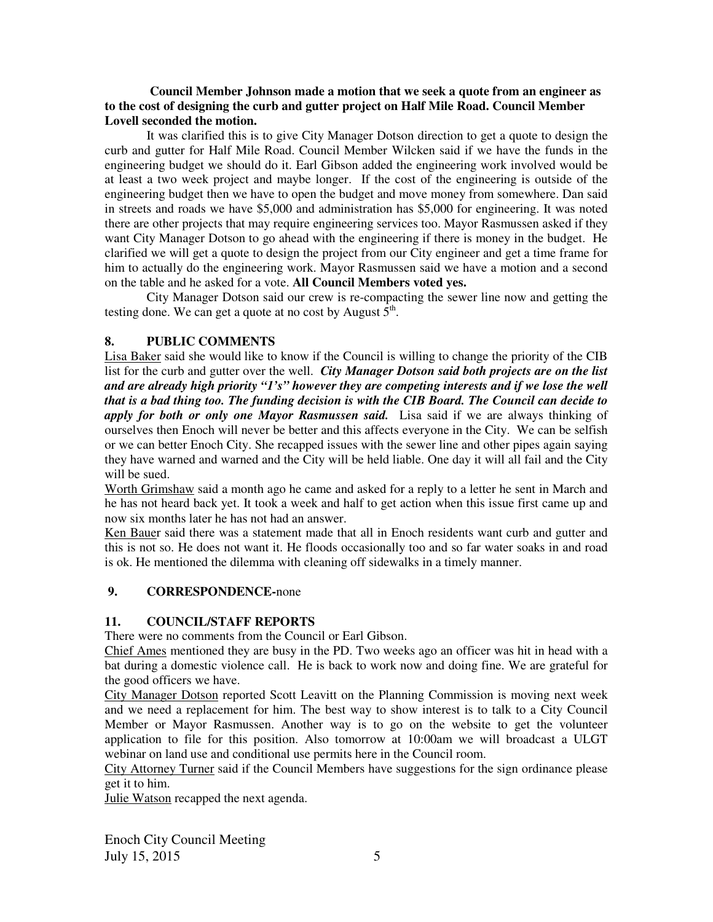#### **Council Member Johnson made a motion that we seek a quote from an engineer as to the cost of designing the curb and gutter project on Half Mile Road. Council Member Lovell seconded the motion.**

It was clarified this is to give City Manager Dotson direction to get a quote to design the curb and gutter for Half Mile Road. Council Member Wilcken said if we have the funds in the engineering budget we should do it. Earl Gibson added the engineering work involved would be at least a two week project and maybe longer. If the cost of the engineering is outside of the engineering budget then we have to open the budget and move money from somewhere. Dan said in streets and roads we have \$5,000 and administration has \$5,000 for engineering. It was noted there are other projects that may require engineering services too. Mayor Rasmussen asked if they want City Manager Dotson to go ahead with the engineering if there is money in the budget.He clarified we will get a quote to design the project from our City engineer and get a time frame for him to actually do the engineering work. Mayor Rasmussen said we have a motion and a second on the table and he asked for a vote. **All Council Members voted yes.** 

City Manager Dotson said our crew is re-compacting the sewer line now and getting the testing done. We can get a quote at no cost by August  $\tilde{5}^{\text{th}}$ .

## **8. PUBLIC COMMENTS**

Lisa Baker said she would like to know if the Council is willing to change the priority of the CIB list for the curb and gutter over the well.*City Manager Dotson said both projects are on the list and are already high priority "1's" however they are competing interests and if we lose the well that is a bad thing too. The funding decision is with the CIB Board. The Council can decide to apply for both or only one Mayor Rasmussen said.*Lisa said if we are always thinking of ourselves then Enoch will never be better and this affects everyone in the City. We can be selfish or we can better Enoch City. She recapped issues with the sewer line and other pipes again saying they have warned and warned and the City will be held liable. One day it will all fail and the City will be sued.

Worth Grimshaw said a month ago he came and asked for a reply to a letter he sent in March and he has not heard back yet. It took a week and half to get action when this issue first came up and now six months later he has not had an answer.

Ken Bauer said there was a statement made that all in Enoch residents want curb and gutter and this is not so. He does not want it. He floods occasionally too and so far water soaks in and road is ok. He mentioned the dilemma with cleaning off sidewalks in a timely manner.

## **9. CORRESPONDENCE-**none

## **11. COUNCIL/STAFF REPORTS**

There were no comments from the Council or Earl Gibson.

Chief Ames mentioned they are busy in the PD. Two weeks ago an officer was hit in head with a bat during a domestic violence call. He is back to work now and doing fine. We are grateful for the good officers we have.

City Manager Dotson reported Scott Leavitt on the Planning Commission is moving next week and we need a replacement for him. The best way to show interest is to talk to a City Council Member or Mayor Rasmussen. Another way is to go on the website to get the volunteer application to file for this position. Also tomorrow at 10:00am we will broadcast a ULGT webinar on land use and conditional use permits here in the Council room.

City Attorney Turner said if the Council Members have suggestions for the sign ordinance please get it to him.

Julie Watson recapped the next agenda.